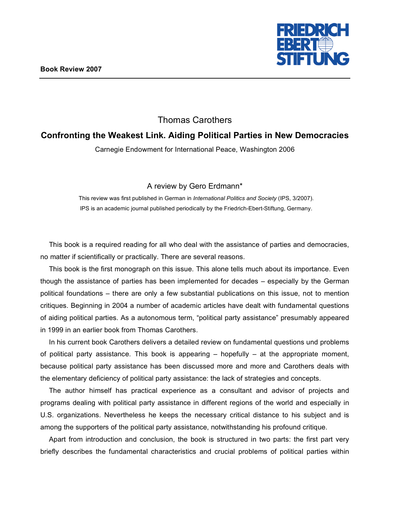

## Thomas Carothers

## **Confronting the Weakest Link. Aiding Political Parties in New Democracies**

Carnegie Endowment for International Peace, Washington 2006

A review by Gero Erdmann\*

This review was first published in German in *International Politics and Society* (IPS, 3/2007). IPS is an academic journal published periodically by the Friedrich-Ebert-Stiftung, Germany.

This book is a required reading for all who deal with the assistance of parties and democracies, no matter if scientifically or practically. There are several reasons.

This book is the first monograph on this issue. This alone tells much about its importance. Even though the assistance of parties has been implemented for decades – especially by the German political foundations – there are only a few substantial publications on this issue, not to mention critiques. Beginning in 2004 a number of academic articles have dealt with fundamental questions of aiding political parties. As a autonomous term, "political party assistance" presumably appeared in 1999 in an earlier book from Thomas Carothers.

In his current book Carothers delivers a detailed review on fundamental questions und problems of political party assistance. This book is appearing  $-$  hopefully  $-$  at the appropriate moment, because political party assistance has been discussed more and more and Carothers deals with the elementary deficiency of political party assistance: the lack of strategies and concepts.

The author himself has practical experience as a consultant and advisor of projects and programs dealing with political party assistance in different regions of the world and especially in U.S. organizations. Nevertheless he keeps the necessary critical distance to his subject and is among the supporters of the political party assistance, notwithstanding his profound critique.

Apart from introduction and conclusion, the book is structured in two parts: the first part very briefly describes the fundamental characteristics and crucial problems of political parties within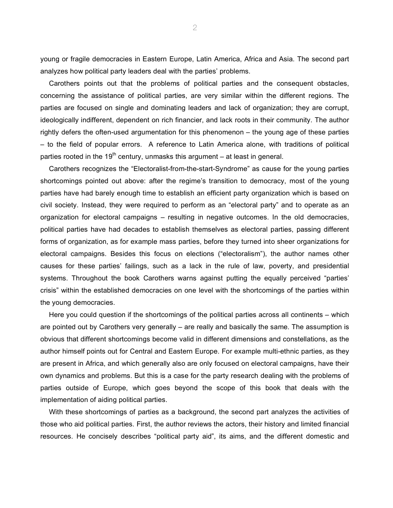young or fragile democracies in Eastern Europe, Latin America, Africa and Asia. The second part analyzes how political party leaders deal with the parties' problems.

Carothers points out that the problems of political parties and the consequent obstacles, concerning the assistance of political parties, are very similar within the different regions. The parties are focused on single and dominating leaders and lack of organization; they are corrupt, ideologically indifferent, dependent on rich financier, and lack roots in their community. The author rightly defers the often-used argumentation for this phenomenon – the young age of these parties – to the field of popular errors. A reference to Latin America alone, with traditions of political parties rooted in the 19<sup>th</sup> century, unmasks this argument  $-$  at least in general.

Carothers recognizes the "Electoralist-from-the-start-Syndrome" as cause for the young parties shortcomings pointed out above: after the regime's transition to democracy, most of the young parties have had barely enough time to establish an efficient party organization which is based on civil society. Instead, they were required to perform as an "electoral party" and to operate as an organization for electoral campaigns – resulting in negative outcomes. In the old democracies, political parties have had decades to establish themselves as electoral parties, passing different forms of organization, as for example mass parties, before they turned into sheer organizations for electoral campaigns. Besides this focus on elections ("electoralism"), the author names other causes for these parties' failings, such as a lack in the rule of law, poverty, and presidential systems. Throughout the book Carothers warns against putting the equally perceived "parties' crisis" within the established democracies on one level with the shortcomings of the parties within the young democracies.

Here you could question if the shortcomings of the political parties across all continents – which are pointed out by Carothers very generally – are really and basically the same. The assumption is obvious that different shortcomings become valid in different dimensions and constellations, as the author himself points out for Central and Eastern Europe. For example multi-ethnic parties, as they are present in Africa, and which generally also are only focused on electoral campaigns, have their own dynamics and problems. But this is a case for the party research dealing with the problems of parties outside of Europe, which goes beyond the scope of this book that deals with the implementation of aiding political parties.

With these shortcomings of parties as a background, the second part analyzes the activities of those who aid political parties. First, the author reviews the actors, their history and limited financial resources. He concisely describes "political party aid", its aims, and the different domestic and

2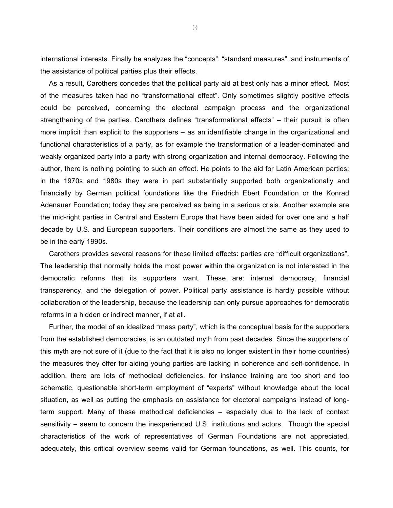international interests. Finally he analyzes the "concepts", "standard measures", and instruments of the assistance of political parties plus their effects.

As a result, Carothers concedes that the political party aid at best only has a minor effect. Most of the measures taken had no "transformational effect". Only sometimes slightly positive effects could be perceived, concerning the electoral campaign process and the organizational strengthening of the parties. Carothers defines "transformational effects" – their pursuit is often more implicit than explicit to the supporters – as an identifiable change in the organizational and functional characteristics of a party, as for example the transformation of a leader-dominated and weakly organized party into a party with strong organization and internal democracy. Following the author, there is nothing pointing to such an effect. He points to the aid for Latin American parties: in the 1970s and 1980s they were in part substantially supported both organizationally and financially by German political foundations like the Friedrich Ebert Foundation or the Konrad Adenauer Foundation; today they are perceived as being in a serious crisis. Another example are the mid-right parties in Central and Eastern Europe that have been aided for over one and a half decade by U.S. and European supporters. Their conditions are almost the same as they used to be in the early 1990s.

Carothers provides several reasons for these limited effects: parties are "difficult organizations". The leadership that normally holds the most power within the organization is not interested in the democratic reforms that its supporters want. These are: internal democracy, financial transparency, and the delegation of power. Political party assistance is hardly possible without collaboration of the leadership, because the leadership can only pursue approaches for democratic reforms in a hidden or indirect manner, if at all.

Further, the model of an idealized "mass party", which is the conceptual basis for the supporters from the established democracies, is an outdated myth from past decades. Since the supporters of this myth are not sure of it (due to the fact that it is also no longer existent in their home countries) the measures they offer for aiding young parties are lacking in coherence and self-confidence. In addition, there are lots of methodical deficiencies, for instance training are too short and too schematic, questionable short-term employment of "experts" without knowledge about the local situation, as well as putting the emphasis on assistance for electoral campaigns instead of longterm support. Many of these methodical deficiencies – especially due to the lack of context sensitivity – seem to concern the inexperienced U.S. institutions and actors. Though the special characteristics of the work of representatives of German Foundations are not appreciated, adequately, this critical overview seems valid for German foundations, as well. This counts, for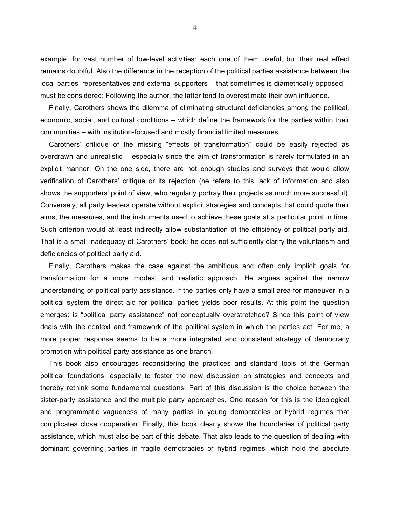example, for vast number of low-level activities: each one of them useful, but their real effect remains doubtful. Also the difference in the reception of the political parties assistance between the local parties' representatives and external supporters – that sometimes is diametrically opposed – must be considered: Following the author, the latter tend to overestimate their own influence.

Finally, Carothers shows the dilemma of eliminating structural deficiencies among the political, economic, social, and cultural conditions – which define the framework for the parties within their communities – with institution-focused and mostly financial limited measures.

Carothers' critique of the missing "effects of transformation" could be easily rejected as overdrawn and unrealistic – especially since the aim of transformation is rarely formulated in an explicit manner. On the one side, there are not enough studies and surveys that would allow verification of Carothers' critique or its rejection (he refers to this lack of information and also shows the supporters' point of view, who regularly portray their projects as much more successful). Conversely, all party leaders operate without explicit strategies and concepts that could quote their aims, the measures, and the instruments used to achieve these goals at a particular point in time. Such criterion would at least indirectly allow substantiation of the efficiency of political party aid. That is a small inadequacy of Carothers' book: he does not sufficiently clarify the voluntarism and deficiencies of political party aid.

Finally, Carothers makes the case against the ambitious and often only implicit goals for transformation for a more modest and realistic approach. He argues against the narrow understanding of political party assistance. If the parties only have a small area for maneuver in a political system the direct aid for political parties yields poor results. At this point the question emerges: is "political party assistance" not conceptually overstretched? Since this point of view deals with the context and framework of the political system in which the parties act. For me, a more proper response seems to be a more integrated and consistent strategy of democracy promotion with political party assistance as one branch.

This book also encourages reconsidering the practices and standard tools of the German political foundations, especially to foster the new discussion on strategies and concepts and thereby rethink some fundamental questions. Part of this discussion is the choice between the sister-party assistance and the multiple party approaches. One reason for this is the ideological and programmatic vagueness of many parties in young democracies or hybrid regimes that complicates close cooperation. Finally, this book clearly shows the boundaries of political party assistance, which must also be part of this debate. That also leads to the question of dealing with dominant governing parties in fragile democracies or hybrid regimes, which hold the absolute

4